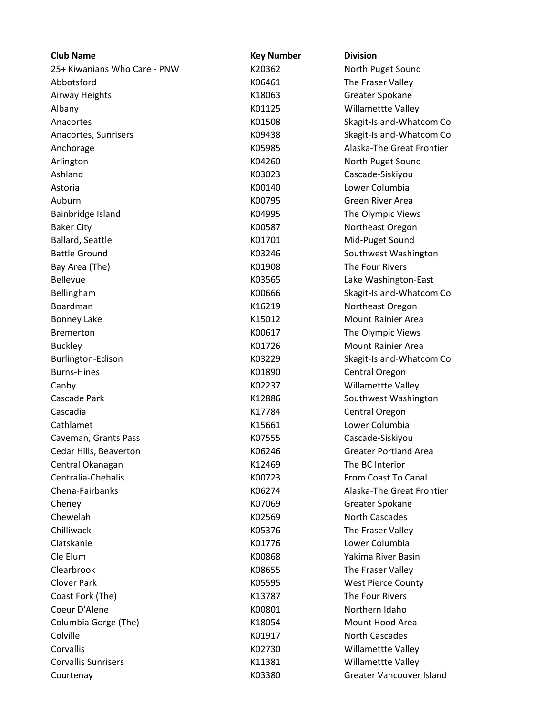| <b>Club Name</b>             | <b>Key Number</b> | <b>Division</b>              |
|------------------------------|-------------------|------------------------------|
| 25+ Kiwanians Who Care - PNW | K20362            | North Puget Sound            |
| Abbotsford                   | K06461            | The Fraser Valley            |
| Airway Heights               | K18063            | Greater Spokane              |
| Albany                       | K01125            | Willamettte Valley           |
| Anacortes                    | K01508            | Skagit-Island-Whatcom Co     |
| Anacortes, Sunrisers         | K09438            | Skagit-Island-Whatcom Co     |
| Anchorage                    | K05985            | Alaska-The Great Frontier    |
| Arlington                    | K04260            | North Puget Sound            |
| Ashland                      | K03023            | Cascade-Siskiyou             |
| Astoria                      | K00140            | Lower Columbia               |
| Auburn                       | K00795            | Green River Area             |
| Bainbridge Island            | K04995            | The Olympic Views            |
| <b>Baker City</b>            | K00587            | Northeast Oregon             |
| <b>Ballard, Seattle</b>      | K01701            | Mid-Puget Sound              |
| <b>Battle Ground</b>         | K03246            | Southwest Washington         |
| Bay Area (The)               | K01908            | The Four Rivers              |
| <b>Bellevue</b>              | K03565            | Lake Washington-East         |
| Bellingham                   | K00666            | Skagit-Island-Whatcom Co     |
| Boardman                     | K16219            | Northeast Oregon             |
| <b>Bonney Lake</b>           | K15012            | <b>Mount Rainier Area</b>    |
| <b>Bremerton</b>             | K00617            | The Olympic Views            |
| <b>Buckley</b>               | K01726            | <b>Mount Rainier Area</b>    |
| Burlington-Edison            | K03229            | Skagit-Island-Whatcom Co     |
| <b>Burns-Hines</b>           | K01890            | Central Oregon               |
| Canby                        | K02237            | Willamettte Valley           |
| Cascade Park                 | K12886            | Southwest Washington         |
| Cascadia                     | K17784            | Central Oregon               |
| Cathlamet                    | K15661            | Lower Columbia               |
| Caveman, Grants Pass         | K07555            | Cascade-Siskiyou             |
| Cedar Hills, Beaverton       | K06246            | <b>Greater Portland Area</b> |
| Central Okanagan             | K12469            | The BC Interior              |
| Centralia-Chehalis           | K00723            | From Coast To Canal          |
| Chena-Fairbanks              | K06274            | Alaska-The Great Frontier    |
| Cheney                       | K07069            | Greater Spokane              |
| Chewelah                     | K02569            | <b>North Cascades</b>        |
| Chilliwack                   | K05376            | The Fraser Valley            |
| Clatskanie                   | K01776            | Lower Columbia               |
| Cle Elum                     | K00868            | Yakima River Basin           |
| Clearbrook                   | K08655            | The Fraser Valley            |
| <b>Clover Park</b>           | K05595            | <b>West Pierce County</b>    |
| Coast Fork (The)             | K13787            | The Four Rivers              |
| Coeur D'Alene                | K00801            | Northern Idaho               |
| Columbia Gorge (The)         | K18054            | Mount Hood Area              |
| Colville                     | K01917            | North Cascades               |
| Corvallis                    | K02730            | Willamettte Valley           |
| <b>Corvallis Sunrisers</b>   | K11381            | Willamettte Valley           |
| Courtenay                    | K03380            | Greater Vancouver Island     |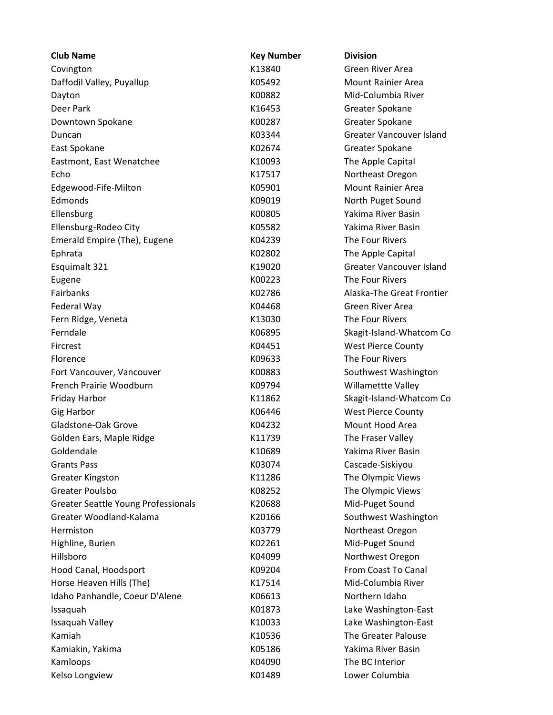| <b>Club Name</b>                           | <b>Key Number</b> | <b>Division</b>                 |  |
|--------------------------------------------|-------------------|---------------------------------|--|
| Covington                                  | K13840            | Green River Area                |  |
| Daffodil Valley, Puyallup                  | K05492            | <b>Mount Rainier Area</b>       |  |
| Dayton                                     | K00882            | Mid-Columbia River              |  |
| Deer Park                                  | K16453            | Greater Spokane                 |  |
| Downtown Spokane                           | K00287            | Greater Spokane                 |  |
| Duncan                                     | K03344            | <b>Greater Vancouver Island</b> |  |
| East Spokane                               | K02674            | Greater Spokane                 |  |
| Eastmont, East Wenatchee                   | K10093            | The Apple Capital               |  |
| Echo                                       | K17517            | Northeast Oregon                |  |
| Edgewood-Fife-Milton                       | K05901            | <b>Mount Rainier Area</b>       |  |
| Edmonds                                    | K09019            | North Puget Sound               |  |
| Ellensburg                                 | K00805            | Yakima River Basin              |  |
| Ellensburg-Rodeo City                      | K05582            | Yakima River Basin              |  |
| Emerald Empire (The), Eugene               | K04239            | The Four Rivers                 |  |
| Ephrata                                    | K02802            | The Apple Capital               |  |
| Esquimalt 321                              | K19020            | <b>Greater Vancouver Island</b> |  |
| Eugene                                     | K00223            | The Four Rivers                 |  |
| Fairbanks                                  | K02786            | Alaska-The Great Frontier       |  |
| Federal Way                                | K04468            | Green River Area                |  |
| Fern Ridge, Veneta                         | K13030            | The Four Rivers                 |  |
| Ferndale                                   | K06895            | Skagit-Island-Whatcom Co        |  |
| Fircrest                                   | K04451            | <b>West Pierce County</b>       |  |
| Florence                                   | K09633            | The Four Rivers                 |  |
| Fort Vancouver, Vancouver                  | K00883            | Southwest Washington            |  |
| French Prairie Woodburn                    | K09794            | Willamettte Valley              |  |
| Friday Harbor                              | K11862            | Skagit-Island-Whatcom Co        |  |
| <b>Gig Harbor</b>                          | K06446            | <b>West Pierce County</b>       |  |
| Gladstone-Oak Grove                        | K04232            | Mount Hood Area                 |  |
| Golden Ears, Maple Ridge                   | K11739            | The Fraser Valley               |  |
| Goldendale                                 | K10689            | Yakima River Basin              |  |
| <b>Grants Pass</b>                         | K03074            | Cascade-Siskiyou                |  |
| <b>Greater Kingston</b>                    | K11286            | The Olympic Views               |  |
| Greater Poulsbo                            | K08252            | The Olympic Views               |  |
|                                            |                   |                                 |  |
| <b>Greater Seattle Young Professionals</b> | K20688            | Mid-Puget Sound                 |  |
| Greater Woodland-Kalama                    | K20166            | Southwest Washington            |  |
| Hermiston                                  | K03779            | Northeast Oregon                |  |
| Highline, Burien                           | K02261            | Mid-Puget Sound                 |  |
| Hillsboro                                  | K04099            | Northwest Oregon                |  |
| Hood Canal, Hoodsport                      | K09204            | From Coast To Canal             |  |
| Horse Heaven Hills (The)                   | K17514            | Mid-Columbia River              |  |
| Idaho Panhandle, Coeur D'Alene             | K06613            | Northern Idaho                  |  |
| Issaquah                                   | K01873            | Lake Washington-East            |  |
| Issaquah Valley                            | K10033            | Lake Washington-East            |  |
| Kamiah                                     | K10536            | The Greater Palouse             |  |
| Kamiakin, Yakima                           | K05186            | Yakima River Basin              |  |
| Kamloops                                   | K04090            | The BC Interior                 |  |
| Kelso Longview                             | K01489            | Lower Columbia                  |  |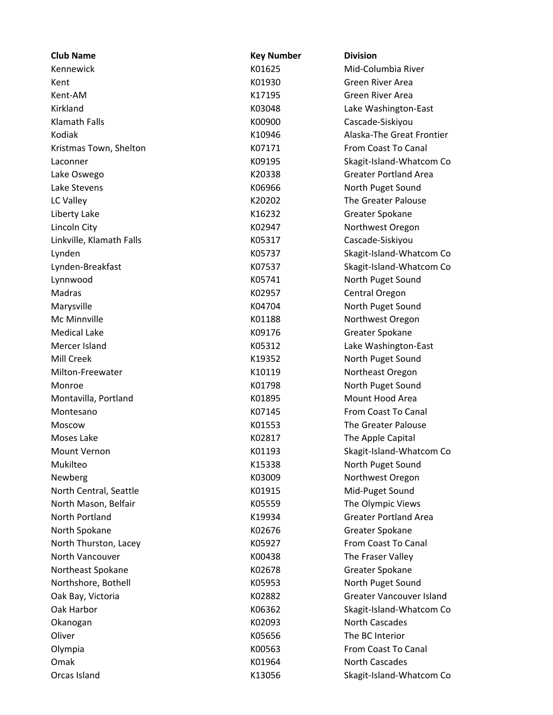| <b>Club Name</b>         | <b>Key Number</b> | <b>Division</b>                 |  |
|--------------------------|-------------------|---------------------------------|--|
| Kennewick                | K01625            | Mid-Columbia River              |  |
| Kent                     | K01930            | Green River Area                |  |
| Kent-AM                  | K17195            | Green River Area                |  |
| Kirkland                 | K03048            | Lake Washington-East            |  |
| <b>Klamath Falls</b>     | K00900            | Cascade-Siskiyou                |  |
| Kodiak                   | K10946            | Alaska-The Great Frontier       |  |
| Kristmas Town, Shelton   | K07171            | From Coast To Canal             |  |
| Laconner                 | K09195            | Skagit-Island-Whatcom Co        |  |
| Lake Oswego              | K20338            | <b>Greater Portland Area</b>    |  |
| Lake Stevens             | K06966            | North Puget Sound               |  |
| LC Valley                | K20202            | The Greater Palouse             |  |
| Liberty Lake             | K16232            | Greater Spokane                 |  |
| Lincoln City             | K02947            | Northwest Oregon                |  |
| Linkville, Klamath Falls | K05317            | Cascade-Siskiyou                |  |
| Lynden                   | K05737            | Skagit-Island-Whatcom Co        |  |
| Lynden-Breakfast         | K07537            | Skagit-Island-Whatcom Co        |  |
| Lynnwood                 | K05741            | North Puget Sound               |  |
| Madras                   | K02957            | Central Oregon                  |  |
| Marysville               | K04704            | North Puget Sound               |  |
| Mc Minnville             | K01188            | Northwest Oregon                |  |
| <b>Medical Lake</b>      | K09176            | Greater Spokane                 |  |
| Mercer Island            | K05312            | Lake Washington-East            |  |
| Mill Creek               | K19352            | North Puget Sound               |  |
| Milton-Freewater         | K10119            | Northeast Oregon                |  |
| Monroe                   | K01798            | North Puget Sound               |  |
| Montavilla, Portland     | K01895            | Mount Hood Area                 |  |
| Montesano                | K07145            | From Coast To Canal             |  |
| Moscow                   | K01553            | The Greater Palouse             |  |
| Moses Lake               | K02817            | The Apple Capital               |  |
| Mount Vernon             | K01193            | Skagit-Island-Whatcom Co        |  |
| Mukilteo                 | K15338            | North Puget Sound               |  |
| Newberg                  | K03009            | Northwest Oregon                |  |
| North Central, Seattle   | K01915            | Mid-Puget Sound                 |  |
| North Mason, Belfair     | K05559            | The Olympic Views               |  |
| North Portland           | K19934            | <b>Greater Portland Area</b>    |  |
| North Spokane            | K02676            | Greater Spokane                 |  |
| North Thurston, Lacey    | K05927            | From Coast To Canal             |  |
| North Vancouver          | K00438            | The Fraser Valley               |  |
| Northeast Spokane        | K02678            | Greater Spokane                 |  |
| Northshore, Bothell      | K05953            | North Puget Sound               |  |
| Oak Bay, Victoria        | K02882            | <b>Greater Vancouver Island</b> |  |
| Oak Harbor               | K06362            | Skagit-Island-Whatcom Co        |  |
| Okanogan                 | K02093            | North Cascades                  |  |
| Oliver                   | K05656            | The BC Interior                 |  |
| Olympia                  | K00563            | From Coast To Canal             |  |
| Omak                     | K01964            | <b>North Cascades</b>           |  |
| Orcas Island             | K13056            | Skagit-Island-Whatcom Co        |  |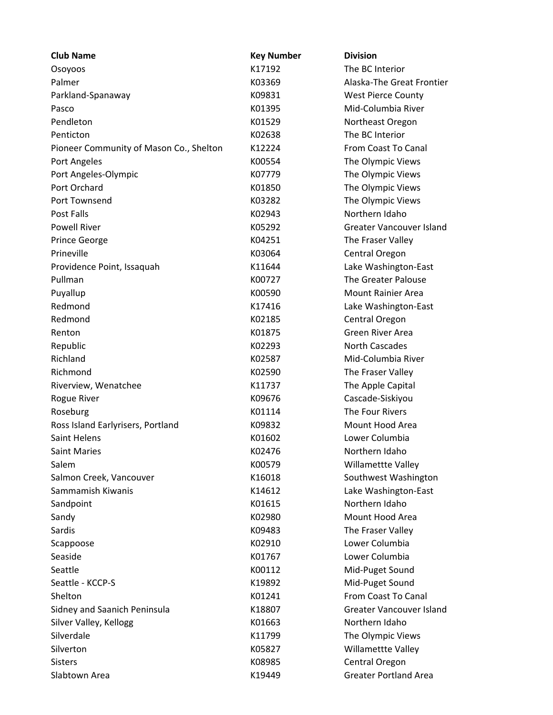| <b>Club Name</b>                        | <b>Key Number</b> | <b>Division</b>                 |  |
|-----------------------------------------|-------------------|---------------------------------|--|
| Osoyoos                                 | K17192            | The BC Interior                 |  |
| Palmer                                  | K03369            | Alaska-The Great Frontier       |  |
| Parkland-Spanaway                       | K09831            | <b>West Pierce County</b>       |  |
| Pasco                                   | K01395            | Mid-Columbia River              |  |
| Pendleton                               | K01529            | Northeast Oregon                |  |
| Penticton                               | K02638            | The BC Interior                 |  |
| Pioneer Community of Mason Co., Shelton | K12224            | From Coast To Canal             |  |
| Port Angeles                            | K00554            | The Olympic Views               |  |
| Port Angeles-Olympic                    | K07779            | The Olympic Views               |  |
| Port Orchard                            | K01850            | The Olympic Views               |  |
| Port Townsend                           | K03282            | The Olympic Views               |  |
| <b>Post Falls</b>                       | K02943            | Northern Idaho                  |  |
| <b>Powell River</b>                     | K05292            | <b>Greater Vancouver Island</b> |  |
| <b>Prince George</b>                    | K04251            | The Fraser Valley               |  |
| Prineville                              | K03064            | Central Oregon                  |  |
| Providence Point, Issaquah              | K11644            | Lake Washington-East            |  |
| Pullman                                 | K00727            | The Greater Palouse             |  |
| Puyallup                                | K00590            | <b>Mount Rainier Area</b>       |  |
| Redmond                                 | K17416            | Lake Washington-East            |  |
| Redmond                                 | K02185            | Central Oregon                  |  |
| Renton                                  | K01875            | Green River Area                |  |
| Republic                                | K02293            | <b>North Cascades</b>           |  |
| Richland                                | K02587            | Mid-Columbia River              |  |
| Richmond                                | K02590            | The Fraser Valley               |  |
| Riverview, Wenatchee                    | K11737            | The Apple Capital               |  |
| <b>Rogue River</b>                      | K09676            | Cascade-Siskiyou                |  |
| Roseburg                                | K01114            | The Four Rivers                 |  |
| Ross Island Earlyrisers, Portland       | K09832            | Mount Hood Area                 |  |
| <b>Saint Helens</b>                     | K01602            | Lower Columbia                  |  |
| <b>Saint Maries</b>                     | K02476            | Northern Idaho                  |  |
| Salem                                   | K00579            | <b>Willamettte Valley</b>       |  |
| Salmon Creek, Vancouver                 | K16018            | Southwest Washington            |  |
| Sammamish Kiwanis                       | K14612            | Lake Washington-East            |  |
| Sandpoint                               | K01615            | Northern Idaho                  |  |
| Sandy                                   | K02980            | Mount Hood Area                 |  |
| Sardis                                  | K09483            | The Fraser Valley               |  |
| Scappoose                               | K02910            | Lower Columbia                  |  |
| Seaside                                 | K01767            | Lower Columbia                  |  |
| Seattle                                 | K00112            | Mid-Puget Sound                 |  |
| Seattle - KCCP-S                        | K19892            | Mid-Puget Sound                 |  |
| Shelton                                 | K01241            | From Coast To Canal             |  |
| Sidney and Saanich Peninsula            | K18807            | <b>Greater Vancouver Island</b> |  |
| Silver Valley, Kellogg                  | K01663            | Northern Idaho                  |  |
| Silverdale                              | K11799            | The Olympic Views               |  |
| Silverton                               | K05827            | Willamettte Valley              |  |
| <b>Sisters</b>                          | K08985            | Central Oregon                  |  |
| Slabtown Area                           | K19449            | <b>Greater Portland Area</b>    |  |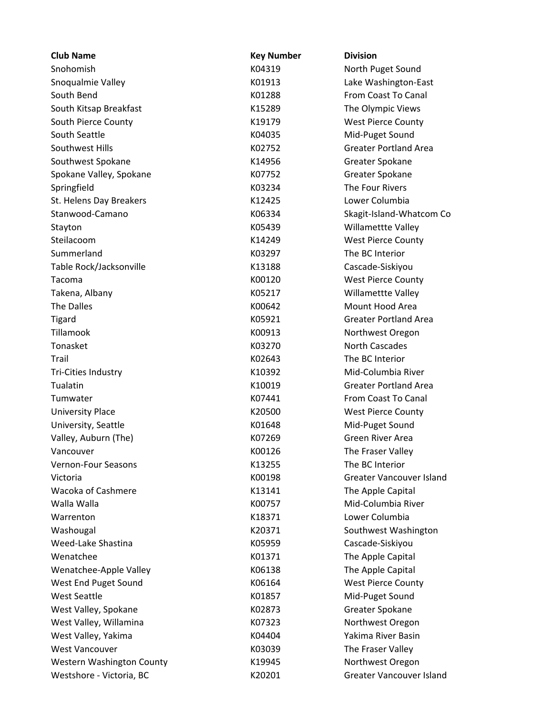| Snohomish<br>K04319<br>North Puget Sound<br>Snoqualmie Valley<br>K01913<br>Lake Washington-East<br>South Bend<br>From Coast To Canal<br>K01288<br>South Kitsap Breakfast<br>K15289<br>The Olympic Views<br>South Pierce County<br>K19179<br><b>West Pierce County</b><br>South Seattle<br>Mid-Puget Sound<br>K04035<br>Southwest Hills<br><b>Greater Portland Area</b><br>K02752<br>Southwest Spokane<br>Greater Spokane<br>K14956<br>Spokane Valley, Spokane<br>K07752<br>Greater Spokane<br>The Four Rivers<br>K03234<br>Springfield<br>Lower Columbia<br>St. Helens Day Breakers<br>K12425<br>Stanwood-Camano<br>K06334<br>Skagit-Island-Whatcom Co<br>Willamettte Valley<br>K05439<br>Stayton<br>Steilacoom<br>K14249<br><b>West Pierce County</b><br>Summerland<br>The BC Interior<br>K03297<br>Table Rock/Jacksonville<br>K13188<br>Cascade-Siskiyou<br>Tacoma<br>K00120<br><b>West Pierce County</b><br>K05217<br><b>Willamettte Valley</b><br>Takena, Albany<br>The Dalles<br>Mount Hood Area<br>K00642<br><b>Greater Portland Area</b><br><b>Tigard</b><br>K05921<br>Tillamook<br>K00913<br>Northwest Oregon<br>Tonasket<br><b>North Cascades</b><br>K03270<br>The BC Interior<br>Trail<br>K02643<br>Mid-Columbia River<br>Tri-Cities Industry<br>K10392<br>Tualatin<br><b>Greater Portland Area</b><br>K10019<br>Tumwater<br>K07441<br>From Coast To Canal<br><b>University Place</b><br>K20500<br><b>West Pierce County</b><br>University, Seattle<br>K01648<br>Mid-Puget Sound<br>Valley, Auburn (The)<br>Green River Area<br>K07269<br>K00126<br>The Fraser Valley<br>Vancouver<br>Vernon-Four Seasons<br>The BC Interior<br>K13255<br><b>Greater Vancouver Island</b><br>Victoria<br>K00198<br>Wacoka of Cashmere<br>K13141<br>The Apple Capital<br>Mid-Columbia River<br>Walla Walla<br>K00757<br>Lower Columbia<br>Warrenton<br>K18371<br>Southwest Washington<br>Washougal<br>K20371<br>Weed-Lake Shastina<br>K05959<br>Cascade-Siskiyou<br>Wenatchee<br>The Apple Capital<br>K01371<br>Wenatchee-Apple Valley<br>K06138<br>The Apple Capital<br>West End Puget Sound<br>K06164<br><b>West Pierce County</b><br><b>West Seattle</b><br>K01857<br>Mid-Puget Sound<br>Greater Spokane<br>West Valley, Spokane<br>K02873<br>West Valley, Willamina<br>Northwest Oregon<br>K07323<br>Yakima River Basin<br>West Valley, Yakima<br>K04404<br>The Fraser Valley<br><b>West Vancouver</b><br>K03039<br>Western Washington County<br>Northwest Oregon<br>K19945 | <b>Club Name</b>         | <b>Key Number</b> | <b>Division</b>          |  |
|--------------------------------------------------------------------------------------------------------------------------------------------------------------------------------------------------------------------------------------------------------------------------------------------------------------------------------------------------------------------------------------------------------------------------------------------------------------------------------------------------------------------------------------------------------------------------------------------------------------------------------------------------------------------------------------------------------------------------------------------------------------------------------------------------------------------------------------------------------------------------------------------------------------------------------------------------------------------------------------------------------------------------------------------------------------------------------------------------------------------------------------------------------------------------------------------------------------------------------------------------------------------------------------------------------------------------------------------------------------------------------------------------------------------------------------------------------------------------------------------------------------------------------------------------------------------------------------------------------------------------------------------------------------------------------------------------------------------------------------------------------------------------------------------------------------------------------------------------------------------------------------------------------------------------------------------------------------------------------------------------------------------------------------------------------------------------------------------------------------------------------------------------------------------------------------------------------------------------------------------------------------------------------------------------------------------------------------------------------------------------------------------------------------------------------------------------------------------------|--------------------------|-------------------|--------------------------|--|
|                                                                                                                                                                                                                                                                                                                                                                                                                                                                                                                                                                                                                                                                                                                                                                                                                                                                                                                                                                                                                                                                                                                                                                                                                                                                                                                                                                                                                                                                                                                                                                                                                                                                                                                                                                                                                                                                                                                                                                                                                                                                                                                                                                                                                                                                                                                                                                                                                                                                          |                          |                   |                          |  |
|                                                                                                                                                                                                                                                                                                                                                                                                                                                                                                                                                                                                                                                                                                                                                                                                                                                                                                                                                                                                                                                                                                                                                                                                                                                                                                                                                                                                                                                                                                                                                                                                                                                                                                                                                                                                                                                                                                                                                                                                                                                                                                                                                                                                                                                                                                                                                                                                                                                                          |                          |                   |                          |  |
|                                                                                                                                                                                                                                                                                                                                                                                                                                                                                                                                                                                                                                                                                                                                                                                                                                                                                                                                                                                                                                                                                                                                                                                                                                                                                                                                                                                                                                                                                                                                                                                                                                                                                                                                                                                                                                                                                                                                                                                                                                                                                                                                                                                                                                                                                                                                                                                                                                                                          |                          |                   |                          |  |
|                                                                                                                                                                                                                                                                                                                                                                                                                                                                                                                                                                                                                                                                                                                                                                                                                                                                                                                                                                                                                                                                                                                                                                                                                                                                                                                                                                                                                                                                                                                                                                                                                                                                                                                                                                                                                                                                                                                                                                                                                                                                                                                                                                                                                                                                                                                                                                                                                                                                          |                          |                   |                          |  |
|                                                                                                                                                                                                                                                                                                                                                                                                                                                                                                                                                                                                                                                                                                                                                                                                                                                                                                                                                                                                                                                                                                                                                                                                                                                                                                                                                                                                                                                                                                                                                                                                                                                                                                                                                                                                                                                                                                                                                                                                                                                                                                                                                                                                                                                                                                                                                                                                                                                                          |                          |                   |                          |  |
|                                                                                                                                                                                                                                                                                                                                                                                                                                                                                                                                                                                                                                                                                                                                                                                                                                                                                                                                                                                                                                                                                                                                                                                                                                                                                                                                                                                                                                                                                                                                                                                                                                                                                                                                                                                                                                                                                                                                                                                                                                                                                                                                                                                                                                                                                                                                                                                                                                                                          |                          |                   |                          |  |
|                                                                                                                                                                                                                                                                                                                                                                                                                                                                                                                                                                                                                                                                                                                                                                                                                                                                                                                                                                                                                                                                                                                                                                                                                                                                                                                                                                                                                                                                                                                                                                                                                                                                                                                                                                                                                                                                                                                                                                                                                                                                                                                                                                                                                                                                                                                                                                                                                                                                          |                          |                   |                          |  |
|                                                                                                                                                                                                                                                                                                                                                                                                                                                                                                                                                                                                                                                                                                                                                                                                                                                                                                                                                                                                                                                                                                                                                                                                                                                                                                                                                                                                                                                                                                                                                                                                                                                                                                                                                                                                                                                                                                                                                                                                                                                                                                                                                                                                                                                                                                                                                                                                                                                                          |                          |                   |                          |  |
|                                                                                                                                                                                                                                                                                                                                                                                                                                                                                                                                                                                                                                                                                                                                                                                                                                                                                                                                                                                                                                                                                                                                                                                                                                                                                                                                                                                                                                                                                                                                                                                                                                                                                                                                                                                                                                                                                                                                                                                                                                                                                                                                                                                                                                                                                                                                                                                                                                                                          |                          |                   |                          |  |
|                                                                                                                                                                                                                                                                                                                                                                                                                                                                                                                                                                                                                                                                                                                                                                                                                                                                                                                                                                                                                                                                                                                                                                                                                                                                                                                                                                                                                                                                                                                                                                                                                                                                                                                                                                                                                                                                                                                                                                                                                                                                                                                                                                                                                                                                                                                                                                                                                                                                          |                          |                   |                          |  |
|                                                                                                                                                                                                                                                                                                                                                                                                                                                                                                                                                                                                                                                                                                                                                                                                                                                                                                                                                                                                                                                                                                                                                                                                                                                                                                                                                                                                                                                                                                                                                                                                                                                                                                                                                                                                                                                                                                                                                                                                                                                                                                                                                                                                                                                                                                                                                                                                                                                                          |                          |                   |                          |  |
|                                                                                                                                                                                                                                                                                                                                                                                                                                                                                                                                                                                                                                                                                                                                                                                                                                                                                                                                                                                                                                                                                                                                                                                                                                                                                                                                                                                                                                                                                                                                                                                                                                                                                                                                                                                                                                                                                                                                                                                                                                                                                                                                                                                                                                                                                                                                                                                                                                                                          |                          |                   |                          |  |
|                                                                                                                                                                                                                                                                                                                                                                                                                                                                                                                                                                                                                                                                                                                                                                                                                                                                                                                                                                                                                                                                                                                                                                                                                                                                                                                                                                                                                                                                                                                                                                                                                                                                                                                                                                                                                                                                                                                                                                                                                                                                                                                                                                                                                                                                                                                                                                                                                                                                          |                          |                   |                          |  |
|                                                                                                                                                                                                                                                                                                                                                                                                                                                                                                                                                                                                                                                                                                                                                                                                                                                                                                                                                                                                                                                                                                                                                                                                                                                                                                                                                                                                                                                                                                                                                                                                                                                                                                                                                                                                                                                                                                                                                                                                                                                                                                                                                                                                                                                                                                                                                                                                                                                                          |                          |                   |                          |  |
|                                                                                                                                                                                                                                                                                                                                                                                                                                                                                                                                                                                                                                                                                                                                                                                                                                                                                                                                                                                                                                                                                                                                                                                                                                                                                                                                                                                                                                                                                                                                                                                                                                                                                                                                                                                                                                                                                                                                                                                                                                                                                                                                                                                                                                                                                                                                                                                                                                                                          |                          |                   |                          |  |
|                                                                                                                                                                                                                                                                                                                                                                                                                                                                                                                                                                                                                                                                                                                                                                                                                                                                                                                                                                                                                                                                                                                                                                                                                                                                                                                                                                                                                                                                                                                                                                                                                                                                                                                                                                                                                                                                                                                                                                                                                                                                                                                                                                                                                                                                                                                                                                                                                                                                          |                          |                   |                          |  |
|                                                                                                                                                                                                                                                                                                                                                                                                                                                                                                                                                                                                                                                                                                                                                                                                                                                                                                                                                                                                                                                                                                                                                                                                                                                                                                                                                                                                                                                                                                                                                                                                                                                                                                                                                                                                                                                                                                                                                                                                                                                                                                                                                                                                                                                                                                                                                                                                                                                                          |                          |                   |                          |  |
|                                                                                                                                                                                                                                                                                                                                                                                                                                                                                                                                                                                                                                                                                                                                                                                                                                                                                                                                                                                                                                                                                                                                                                                                                                                                                                                                                                                                                                                                                                                                                                                                                                                                                                                                                                                                                                                                                                                                                                                                                                                                                                                                                                                                                                                                                                                                                                                                                                                                          |                          |                   |                          |  |
|                                                                                                                                                                                                                                                                                                                                                                                                                                                                                                                                                                                                                                                                                                                                                                                                                                                                                                                                                                                                                                                                                                                                                                                                                                                                                                                                                                                                                                                                                                                                                                                                                                                                                                                                                                                                                                                                                                                                                                                                                                                                                                                                                                                                                                                                                                                                                                                                                                                                          |                          |                   |                          |  |
|                                                                                                                                                                                                                                                                                                                                                                                                                                                                                                                                                                                                                                                                                                                                                                                                                                                                                                                                                                                                                                                                                                                                                                                                                                                                                                                                                                                                                                                                                                                                                                                                                                                                                                                                                                                                                                                                                                                                                                                                                                                                                                                                                                                                                                                                                                                                                                                                                                                                          |                          |                   |                          |  |
|                                                                                                                                                                                                                                                                                                                                                                                                                                                                                                                                                                                                                                                                                                                                                                                                                                                                                                                                                                                                                                                                                                                                                                                                                                                                                                                                                                                                                                                                                                                                                                                                                                                                                                                                                                                                                                                                                                                                                                                                                                                                                                                                                                                                                                                                                                                                                                                                                                                                          |                          |                   |                          |  |
|                                                                                                                                                                                                                                                                                                                                                                                                                                                                                                                                                                                                                                                                                                                                                                                                                                                                                                                                                                                                                                                                                                                                                                                                                                                                                                                                                                                                                                                                                                                                                                                                                                                                                                                                                                                                                                                                                                                                                                                                                                                                                                                                                                                                                                                                                                                                                                                                                                                                          |                          |                   |                          |  |
|                                                                                                                                                                                                                                                                                                                                                                                                                                                                                                                                                                                                                                                                                                                                                                                                                                                                                                                                                                                                                                                                                                                                                                                                                                                                                                                                                                                                                                                                                                                                                                                                                                                                                                                                                                                                                                                                                                                                                                                                                                                                                                                                                                                                                                                                                                                                                                                                                                                                          |                          |                   |                          |  |
|                                                                                                                                                                                                                                                                                                                                                                                                                                                                                                                                                                                                                                                                                                                                                                                                                                                                                                                                                                                                                                                                                                                                                                                                                                                                                                                                                                                                                                                                                                                                                                                                                                                                                                                                                                                                                                                                                                                                                                                                                                                                                                                                                                                                                                                                                                                                                                                                                                                                          |                          |                   |                          |  |
|                                                                                                                                                                                                                                                                                                                                                                                                                                                                                                                                                                                                                                                                                                                                                                                                                                                                                                                                                                                                                                                                                                                                                                                                                                                                                                                                                                                                                                                                                                                                                                                                                                                                                                                                                                                                                                                                                                                                                                                                                                                                                                                                                                                                                                                                                                                                                                                                                                                                          |                          |                   |                          |  |
|                                                                                                                                                                                                                                                                                                                                                                                                                                                                                                                                                                                                                                                                                                                                                                                                                                                                                                                                                                                                                                                                                                                                                                                                                                                                                                                                                                                                                                                                                                                                                                                                                                                                                                                                                                                                                                                                                                                                                                                                                                                                                                                                                                                                                                                                                                                                                                                                                                                                          |                          |                   |                          |  |
|                                                                                                                                                                                                                                                                                                                                                                                                                                                                                                                                                                                                                                                                                                                                                                                                                                                                                                                                                                                                                                                                                                                                                                                                                                                                                                                                                                                                                                                                                                                                                                                                                                                                                                                                                                                                                                                                                                                                                                                                                                                                                                                                                                                                                                                                                                                                                                                                                                                                          |                          |                   |                          |  |
|                                                                                                                                                                                                                                                                                                                                                                                                                                                                                                                                                                                                                                                                                                                                                                                                                                                                                                                                                                                                                                                                                                                                                                                                                                                                                                                                                                                                                                                                                                                                                                                                                                                                                                                                                                                                                                                                                                                                                                                                                                                                                                                                                                                                                                                                                                                                                                                                                                                                          |                          |                   |                          |  |
|                                                                                                                                                                                                                                                                                                                                                                                                                                                                                                                                                                                                                                                                                                                                                                                                                                                                                                                                                                                                                                                                                                                                                                                                                                                                                                                                                                                                                                                                                                                                                                                                                                                                                                                                                                                                                                                                                                                                                                                                                                                                                                                                                                                                                                                                                                                                                                                                                                                                          |                          |                   |                          |  |
|                                                                                                                                                                                                                                                                                                                                                                                                                                                                                                                                                                                                                                                                                                                                                                                                                                                                                                                                                                                                                                                                                                                                                                                                                                                                                                                                                                                                                                                                                                                                                                                                                                                                                                                                                                                                                                                                                                                                                                                                                                                                                                                                                                                                                                                                                                                                                                                                                                                                          |                          |                   |                          |  |
|                                                                                                                                                                                                                                                                                                                                                                                                                                                                                                                                                                                                                                                                                                                                                                                                                                                                                                                                                                                                                                                                                                                                                                                                                                                                                                                                                                                                                                                                                                                                                                                                                                                                                                                                                                                                                                                                                                                                                                                                                                                                                                                                                                                                                                                                                                                                                                                                                                                                          |                          |                   |                          |  |
|                                                                                                                                                                                                                                                                                                                                                                                                                                                                                                                                                                                                                                                                                                                                                                                                                                                                                                                                                                                                                                                                                                                                                                                                                                                                                                                                                                                                                                                                                                                                                                                                                                                                                                                                                                                                                                                                                                                                                                                                                                                                                                                                                                                                                                                                                                                                                                                                                                                                          |                          |                   |                          |  |
|                                                                                                                                                                                                                                                                                                                                                                                                                                                                                                                                                                                                                                                                                                                                                                                                                                                                                                                                                                                                                                                                                                                                                                                                                                                                                                                                                                                                                                                                                                                                                                                                                                                                                                                                                                                                                                                                                                                                                                                                                                                                                                                                                                                                                                                                                                                                                                                                                                                                          |                          |                   |                          |  |
|                                                                                                                                                                                                                                                                                                                                                                                                                                                                                                                                                                                                                                                                                                                                                                                                                                                                                                                                                                                                                                                                                                                                                                                                                                                                                                                                                                                                                                                                                                                                                                                                                                                                                                                                                                                                                                                                                                                                                                                                                                                                                                                                                                                                                                                                                                                                                                                                                                                                          |                          |                   |                          |  |
|                                                                                                                                                                                                                                                                                                                                                                                                                                                                                                                                                                                                                                                                                                                                                                                                                                                                                                                                                                                                                                                                                                                                                                                                                                                                                                                                                                                                                                                                                                                                                                                                                                                                                                                                                                                                                                                                                                                                                                                                                                                                                                                                                                                                                                                                                                                                                                                                                                                                          |                          |                   |                          |  |
|                                                                                                                                                                                                                                                                                                                                                                                                                                                                                                                                                                                                                                                                                                                                                                                                                                                                                                                                                                                                                                                                                                                                                                                                                                                                                                                                                                                                                                                                                                                                                                                                                                                                                                                                                                                                                                                                                                                                                                                                                                                                                                                                                                                                                                                                                                                                                                                                                                                                          |                          |                   |                          |  |
|                                                                                                                                                                                                                                                                                                                                                                                                                                                                                                                                                                                                                                                                                                                                                                                                                                                                                                                                                                                                                                                                                                                                                                                                                                                                                                                                                                                                                                                                                                                                                                                                                                                                                                                                                                                                                                                                                                                                                                                                                                                                                                                                                                                                                                                                                                                                                                                                                                                                          |                          |                   |                          |  |
|                                                                                                                                                                                                                                                                                                                                                                                                                                                                                                                                                                                                                                                                                                                                                                                                                                                                                                                                                                                                                                                                                                                                                                                                                                                                                                                                                                                                                                                                                                                                                                                                                                                                                                                                                                                                                                                                                                                                                                                                                                                                                                                                                                                                                                                                                                                                                                                                                                                                          |                          |                   |                          |  |
|                                                                                                                                                                                                                                                                                                                                                                                                                                                                                                                                                                                                                                                                                                                                                                                                                                                                                                                                                                                                                                                                                                                                                                                                                                                                                                                                                                                                                                                                                                                                                                                                                                                                                                                                                                                                                                                                                                                                                                                                                                                                                                                                                                                                                                                                                                                                                                                                                                                                          |                          |                   |                          |  |
|                                                                                                                                                                                                                                                                                                                                                                                                                                                                                                                                                                                                                                                                                                                                                                                                                                                                                                                                                                                                                                                                                                                                                                                                                                                                                                                                                                                                                                                                                                                                                                                                                                                                                                                                                                                                                                                                                                                                                                                                                                                                                                                                                                                                                                                                                                                                                                                                                                                                          |                          |                   |                          |  |
|                                                                                                                                                                                                                                                                                                                                                                                                                                                                                                                                                                                                                                                                                                                                                                                                                                                                                                                                                                                                                                                                                                                                                                                                                                                                                                                                                                                                                                                                                                                                                                                                                                                                                                                                                                                                                                                                                                                                                                                                                                                                                                                                                                                                                                                                                                                                                                                                                                                                          |                          |                   |                          |  |
|                                                                                                                                                                                                                                                                                                                                                                                                                                                                                                                                                                                                                                                                                                                                                                                                                                                                                                                                                                                                                                                                                                                                                                                                                                                                                                                                                                                                                                                                                                                                                                                                                                                                                                                                                                                                                                                                                                                                                                                                                                                                                                                                                                                                                                                                                                                                                                                                                                                                          |                          |                   |                          |  |
|                                                                                                                                                                                                                                                                                                                                                                                                                                                                                                                                                                                                                                                                                                                                                                                                                                                                                                                                                                                                                                                                                                                                                                                                                                                                                                                                                                                                                                                                                                                                                                                                                                                                                                                                                                                                                                                                                                                                                                                                                                                                                                                                                                                                                                                                                                                                                                                                                                                                          |                          |                   |                          |  |
|                                                                                                                                                                                                                                                                                                                                                                                                                                                                                                                                                                                                                                                                                                                                                                                                                                                                                                                                                                                                                                                                                                                                                                                                                                                                                                                                                                                                                                                                                                                                                                                                                                                                                                                                                                                                                                                                                                                                                                                                                                                                                                                                                                                                                                                                                                                                                                                                                                                                          |                          |                   |                          |  |
|                                                                                                                                                                                                                                                                                                                                                                                                                                                                                                                                                                                                                                                                                                                                                                                                                                                                                                                                                                                                                                                                                                                                                                                                                                                                                                                                                                                                                                                                                                                                                                                                                                                                                                                                                                                                                                                                                                                                                                                                                                                                                                                                                                                                                                                                                                                                                                                                                                                                          |                          |                   |                          |  |
|                                                                                                                                                                                                                                                                                                                                                                                                                                                                                                                                                                                                                                                                                                                                                                                                                                                                                                                                                                                                                                                                                                                                                                                                                                                                                                                                                                                                                                                                                                                                                                                                                                                                                                                                                                                                                                                                                                                                                                                                                                                                                                                                                                                                                                                                                                                                                                                                                                                                          |                          |                   |                          |  |
|                                                                                                                                                                                                                                                                                                                                                                                                                                                                                                                                                                                                                                                                                                                                                                                                                                                                                                                                                                                                                                                                                                                                                                                                                                                                                                                                                                                                                                                                                                                                                                                                                                                                                                                                                                                                                                                                                                                                                                                                                                                                                                                                                                                                                                                                                                                                                                                                                                                                          | Westshore - Victoria, BC | K20201            | Greater Vancouver Island |  |